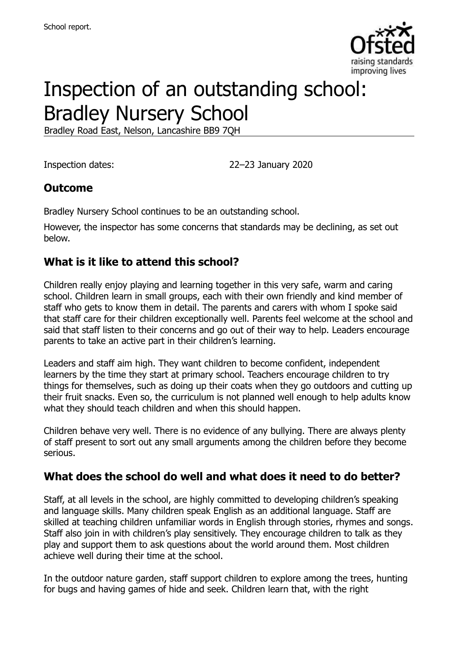

# Inspection of an outstanding school: Bradley Nursery School

Bradley Road East, Nelson, Lancashire BB9 7QH

Inspection dates: 22–23 January 2020

## **Outcome**

Bradley Nursery School continues to be an outstanding school.

However, the inspector has some concerns that standards may be declining, as set out below.

# **What is it like to attend this school?**

Children really enjoy playing and learning together in this very safe, warm and caring school. Children learn in small groups, each with their own friendly and kind member of staff who gets to know them in detail. The parents and carers with whom I spoke said that staff care for their children exceptionally well. Parents feel welcome at the school and said that staff listen to their concerns and go out of their way to help. Leaders encourage parents to take an active part in their children's learning.

Leaders and staff aim high. They want children to become confident, independent learners by the time they start at primary school. Teachers encourage children to try things for themselves, such as doing up their coats when they go outdoors and cutting up their fruit snacks. Even so, the curriculum is not planned well enough to help adults know what they should teach children and when this should happen.

Children behave very well. There is no evidence of any bullying. There are always plenty of staff present to sort out any small arguments among the children before they become serious.

# **What does the school do well and what does it need to do better?**

Staff, at all levels in the school, are highly committed to developing children's speaking and language skills. Many children speak English as an additional language. Staff are skilled at teaching children unfamiliar words in English through stories, rhymes and songs. Staff also join in with children's play sensitively. They encourage children to talk as they play and support them to ask questions about the world around them. Most children achieve well during their time at the school.

In the outdoor nature garden, staff support children to explore among the trees, hunting for bugs and having games of hide and seek. Children learn that, with the right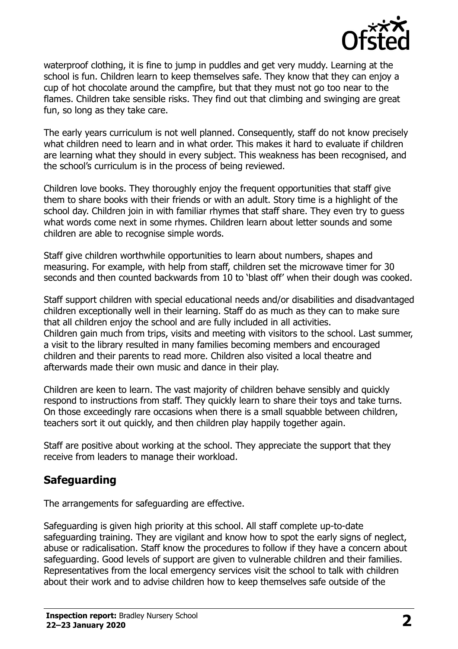

waterproof clothing, it is fine to jump in puddles and get very muddy. Learning at the school is fun. Children learn to keep themselves safe. They know that they can enjoy a cup of hot chocolate around the campfire, but that they must not go too near to the flames. Children take sensible risks. They find out that climbing and swinging are great fun, so long as they take care.

The early years curriculum is not well planned. Consequently, staff do not know precisely what children need to learn and in what order. This makes it hard to evaluate if children are learning what they should in every subject. This weakness has been recognised, and the school's curriculum is in the process of being reviewed.

Children love books. They thoroughly enjoy the frequent opportunities that staff give them to share books with their friends or with an adult. Story time is a highlight of the school day. Children join in with familiar rhymes that staff share. They even try to guess what words come next in some rhymes. Children learn about letter sounds and some children are able to recognise simple words.

Staff give children worthwhile opportunities to learn about numbers, shapes and measuring. For example, with help from staff, children set the microwave timer for 30 seconds and then counted backwards from 10 to 'blast off' when their dough was cooked.

Staff support children with special educational needs and/or disabilities and disadvantaged children exceptionally well in their learning. Staff do as much as they can to make sure that all children enjoy the school and are fully included in all activities. Children gain much from trips, visits and meeting with visitors to the school. Last summer, a visit to the library resulted in many families becoming members and encouraged children and their parents to read more. Children also visited a local theatre and afterwards made their own music and dance in their play.

Children are keen to learn. The vast majority of children behave sensibly and quickly respond to instructions from staff. They quickly learn to share their toys and take turns. On those exceedingly rare occasions when there is a small squabble between children, teachers sort it out quickly, and then children play happily together again.

Staff are positive about working at the school. They appreciate the support that they receive from leaders to manage their workload.

# **Safeguarding**

The arrangements for safeguarding are effective.

Safeguarding is given high priority at this school. All staff complete up-to-date safeguarding training. They are vigilant and know how to spot the early signs of neglect, abuse or radicalisation. Staff know the procedures to follow if they have a concern about safeguarding. Good levels of support are given to vulnerable children and their families. Representatives from the local emergency services visit the school to talk with children about their work and to advise children how to keep themselves safe outside of the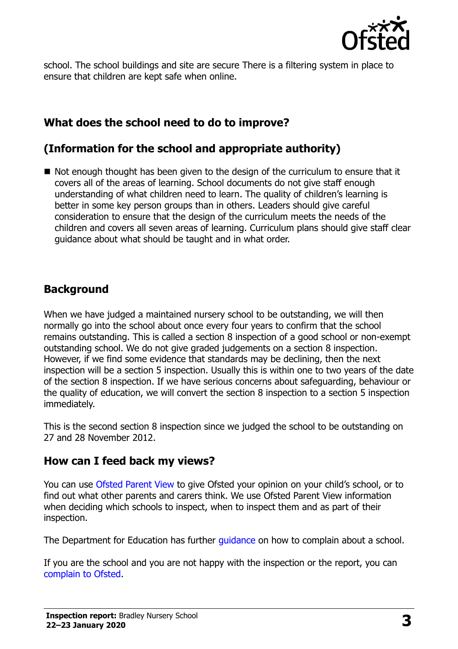

school. The school buildings and site are secure There is a filtering system in place to ensure that children are kept safe when online.

## **What does the school need to do to improve?**

## **(Information for the school and appropriate authority)**

 $\blacksquare$  Not enough thought has been given to the design of the curriculum to ensure that it covers all of the areas of learning. School documents do not give staff enough understanding of what children need to learn. The quality of children's learning is better in some key person groups than in others. Leaders should give careful consideration to ensure that the design of the curriculum meets the needs of the children and covers all seven areas of learning. Curriculum plans should give staff clear guidance about what should be taught and in what order.

#### **Background**

When we have judged a maintained nursery school to be outstanding, we will then normally go into the school about once every four years to confirm that the school remains outstanding. This is called a section 8 inspection of a good school or non-exempt outstanding school. We do not give graded judgements on a section 8 inspection. However, if we find some evidence that standards may be declining, then the next inspection will be a section 5 inspection. Usually this is within one to two years of the date of the section 8 inspection. If we have serious concerns about safeguarding, behaviour or the quality of education, we will convert the section 8 inspection to a section 5 inspection immediately.

This is the second section 8 inspection since we judged the school to be outstanding on 27 and 28 November 2012.

#### **How can I feed back my views?**

You can use [Ofsted Parent View](https://parentview.ofsted.gov.uk/) to give Ofsted your opinion on your child's school, or to find out what other parents and carers think. We use Ofsted Parent View information when deciding which schools to inspect, when to inspect them and as part of their inspection.

The Department for Education has further quidance on how to complain about a school.

If you are the school and you are not happy with the inspection or the report, you can [complain to Ofsted.](https://www.gov.uk/complain-ofsted-report)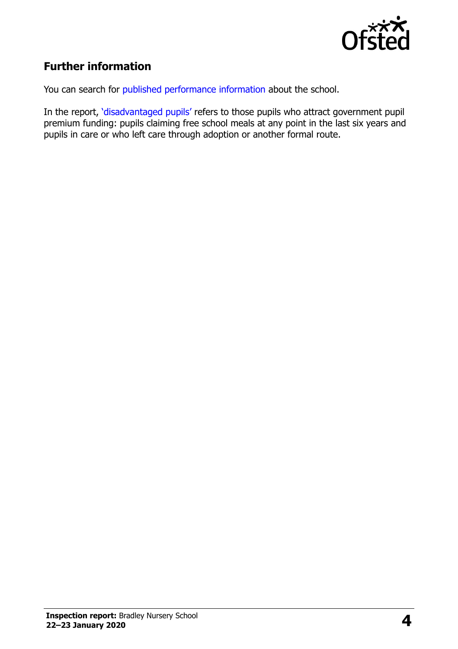

# **Further information**

You can search for [published performance information](http://www.compare-school-performance.service.gov.uk/) about the school.

In the report, '[disadvantaged pupils](http://www.gov.uk/guidance/pupil-premium-information-for-schools-and-alternative-provision-settings)' refers to those pupils who attract government pupil premium funding: pupils claiming free school meals at any point in the last six years and pupils in care or who left care through adoption or another formal route.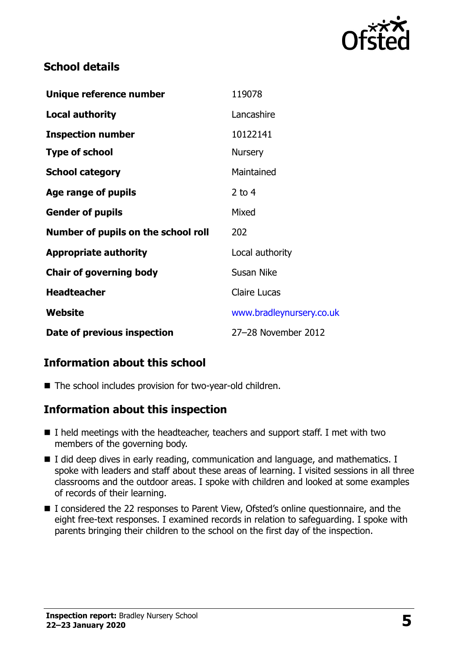

## **School details**

| Unique reference number             | 119078                   |
|-------------------------------------|--------------------------|
| <b>Local authority</b>              | Lancashire               |
| <b>Inspection number</b>            | 10122141                 |
| <b>Type of school</b>               | <b>Nursery</b>           |
| <b>School category</b>              | Maintained               |
| Age range of pupils                 | 2 to 4                   |
| <b>Gender of pupils</b>             | Mixed                    |
| Number of pupils on the school roll | 202                      |
| <b>Appropriate authority</b>        | Local authority          |
| <b>Chair of governing body</b>      | Susan Nike               |
| <b>Headteacher</b>                  | <b>Claire Lucas</b>      |
| <b>Website</b>                      | www.bradleynursery.co.uk |
| Date of previous inspection         | 27-28 November 2012      |

# **Information about this school**

■ The school includes provision for two-year-old children.

#### **Information about this inspection**

- I held meetings with the headteacher, teachers and support staff. I met with two members of the governing body.
- I did deep dives in early reading, communication and language, and mathematics. I spoke with leaders and staff about these areas of learning. I visited sessions in all three classrooms and the outdoor areas. I spoke with children and looked at some examples of records of their learning.
- I considered the 22 responses to Parent View, Ofsted's online questionnaire, and the eight free-text responses. I examined records in relation to safeguarding. I spoke with parents bringing their children to the school on the first day of the inspection.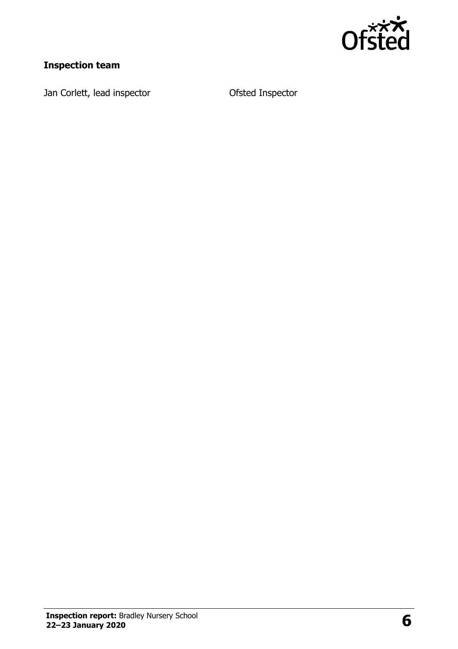

# **Inspection team**

Jan Corlett, lead inspector **Conservation Corlett**, lead inspector